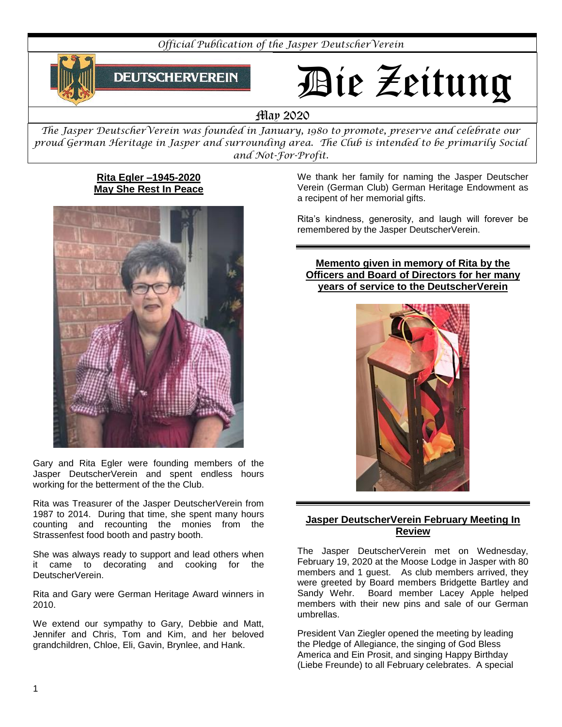*Official Publication of the Jasper DeutscherVerein*



# Die Zeitung

May 2020

*The Jasper DeutscherVerein was founded in January, 1980 to promote, preserve and celebrate our proud German Heritage in Jasper and surrounding area. The Club is intended to be primarily Social and Not-For-Profit.*

# **Rita Egler –1945-2020 May She Rest In Peace**



Gary and Rita Egler were founding members of the Jasper DeutscherVerein and spent endless hours working for the betterment of the the Club.

Rita was Treasurer of the Jasper DeutscherVerein from 1987 to 2014. During that time, she spent many hours counting and recounting the monies from the Strassenfest food booth and pastry booth.

She was always ready to support and lead others when it came to decorating and cooking for the DeutscherVerein.

Rita and Gary were German Heritage Award winners in 2010.

We extend our sympathy to Gary, Debbie and Matt, Jennifer and Chris, Tom and Kim, and her beloved grandchildren, Chloe, Eli, Gavin, Brynlee, and Hank.

We thank her family for naming the Jasper Deutscher Verein (German Club) German Heritage Endowment as a recipent of her memorial gifts.

Rita's kindness, generosity, and laugh will forever be remembered by the Jasper DeutscherVerein.

**Memento given in memory of Rita by the Officers and Board of Directors for her many years of service to the DeutscherVerein**



# **Jasper DeutscherVerein February Meeting In Review**

The Jasper DeutscherVerein met on Wednesday, February 19, 2020 at the Moose Lodge in Jasper with 80 members and 1 guest. As club members arrived, they were greeted by Board members Bridgette Bartley and Sandy Wehr. Board member Lacey Apple helped members with their new pins and sale of our German umbrellas.

President Van Ziegler opened the meeting by leading the Pledge of Allegiance, the singing of God Bless America and Ein Prosit, and singing Happy Birthday (Liebe Freunde) to all February celebrates. A special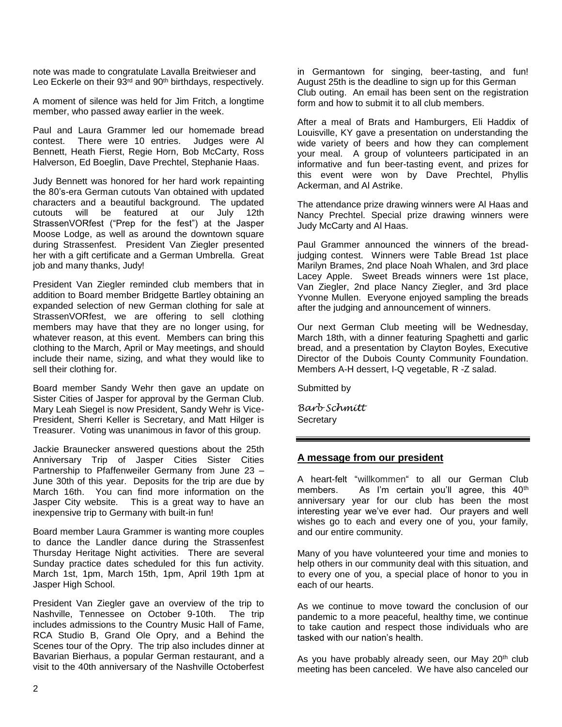note was made to congratulate Lavalla Breitwieser and Leo Eckerle on their 93<sup>rd</sup> and 90<sup>th</sup> birthdays, respectively.

A moment of silence was held for Jim Fritch, a longtime member, who passed away earlier in the week.

Paul and Laura Grammer led our homemade bread contest. There were 10 entries. Judges were Al Bennett, Heath Fierst, Regie Horn, Bob McCarty, Ross Halverson, Ed Boeglin, Dave Prechtel, Stephanie Haas.

Judy Bennett was honored for her hard work repainting the 80's-era German cutouts Van obtained with updated characters and a beautiful background. The updated cutouts will be featured at our July 12th StrassenVORfest ("Prep for the fest") at the Jasper Moose Lodge, as well as around the downtown square during Strassenfest. President Van Ziegler presented her with a gift certificate and a German Umbrella. Great job and many thanks, Judy!

President Van Ziegler reminded club members that in addition to Board member Bridgette Bartley obtaining an expanded selection of new German clothing for sale at StrassenVORfest, we are offering to sell clothing members may have that they are no longer using, for whatever reason, at this event. Members can bring this clothing to the March, April or May meetings, and should include their name, sizing, and what they would like to sell their clothing for.

Board member Sandy Wehr then gave an update on Sister Cities of Jasper for approval by the German Club. Mary Leah Siegel is now President, Sandy Wehr is Vice-President, Sherri Keller is Secretary, and Matt Hilger is Treasurer. Voting was unanimous in favor of this group.

Jackie Braunecker answered questions about the 25th Anniversary Trip of Jasper Cities Sister Cities Partnership to Pfaffenweiler Germany from June 23 – June 30th of this year. Deposits for the trip are due by March 16th. You can find more information on the Jasper City website. This is a great way to have an inexpensive trip to Germany with built-in fun!

Board member Laura Grammer is wanting more couples to dance the Landler dance during the Strassenfest Thursday Heritage Night activities. There are several Sunday practice dates scheduled for this fun activity. March 1st, 1pm, March 15th, 1pm, April 19th 1pm at Jasper High School.

President Van Ziegler gave an overview of the trip to Nashville, Tennessee on October 9-10th. The trip includes admissions to the Country Music Hall of Fame, RCA Studio B, Grand Ole Opry, and a Behind the Scenes tour of the Opry. The trip also includes dinner at Bavarian Bierhaus, a popular German restaurant, and a visit to the 40th anniversary of the Nashville Octoberfest

in Germantown for singing, beer-tasting, and fun! August 25th is the deadline to sign up for this German Club outing. An email has been sent on the registration form and how to submit it to all club members.

After a meal of Brats and Hamburgers, Eli Haddix of Louisville, KY gave a presentation on understanding the wide variety of beers and how they can complement your meal. A group of volunteers participated in an informative and fun beer-tasting event, and prizes for this event were won by Dave Prechtel, Phyllis Ackerman, and Al Astrike.

The attendance prize drawing winners were Al Haas and Nancy Prechtel. Special prize drawing winners were Judy McCarty and Al Haas.

Paul Grammer announced the winners of the breadjudging contest. Winners were Table Bread 1st place Marilyn Brames, 2nd place Noah Whalen, and 3rd place Lacey Apple. Sweet Breads winners were 1st place, Van Ziegler, 2nd place Nancy Ziegler, and 3rd place Yvonne Mullen. Everyone enjoyed sampling the breads after the judging and announcement of winners.

Our next German Club meeting will be Wednesday, March 18th, with a dinner featuring Spaghetti and garlic bread, and a presentation by Clayton Boyles, Executive Director of the Dubois County Community Foundation. Members A-H dessert, I-Q vegetable, R -Z salad.

Submitted by

*Barb Schmitt*  **Secretary** 

### **A message from our president**

A heart-felt "willkommen" to all our German Club members. As I'm certain you'll agree, this 40<sup>th</sup> anniversary year for our club has been the most interesting year we've ever had. Our prayers and well wishes go to each and every one of you, your family, and our entire community.

Many of you have volunteered your time and monies to help others in our community deal with this situation, and to every one of you, a special place of honor to you in each of our hearts.

As we continue to move toward the conclusion of our pandemic to a more peaceful, healthy time, we continue to take caution and respect those individuals who are tasked with our nation's health.

As you have probably already seen, our May 20<sup>th</sup> club meeting has been canceled. We have also canceled our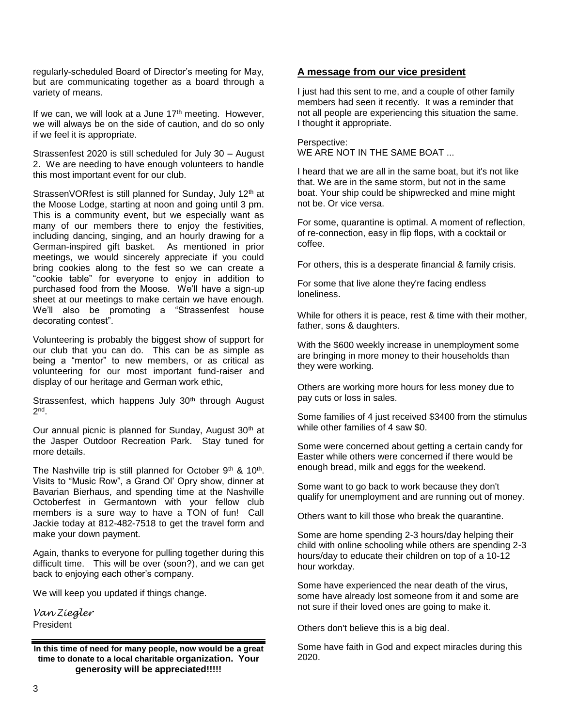regularly-scheduled Board of Director's meeting for May, but are communicating together as a board through a variety of means.

If we can, we will look at a June  $17<sup>th</sup>$  meeting. However, we will always be on the side of caution, and do so only if we feel it is appropriate.

Strassenfest 2020 is still scheduled for July 30 – August 2. We are needing to have enough volunteers to handle this most important event for our club.

StrassenVORfest is still planned for Sunday, July 12<sup>th</sup> at the Moose Lodge, starting at noon and going until 3 pm. This is a community event, but we especially want as many of our members there to enjoy the festivities, including dancing, singing, and an hourly drawing for a German-inspired gift basket. As mentioned in prior meetings, we would sincerely appreciate if you could bring cookies along to the fest so we can create a "cookie table" for everyone to enjoy in addition to purchased food from the Moose. We'll have a sign-up sheet at our meetings to make certain we have enough. We'll also be promoting a "Strassenfest house decorating contest".

Volunteering is probably the biggest show of support for our club that you can do. This can be as simple as being a "mentor" to new members, or as critical as volunteering for our most important fund-raiser and display of our heritage and German work ethic,

Strassenfest, which happens July 30<sup>th</sup> through August 2 nd .

Our annual picnic is planned for Sunday, August 30<sup>th</sup> at the Jasper Outdoor Recreation Park. Stay tuned for more details.

The Nashville trip is still planned for October  $9<sup>th</sup>$  & 10<sup>th</sup>. Visits to "Music Row", a Grand Ol' Opry show, dinner at Bavarian Bierhaus, and spending time at the Nashville Octoberfest in Germantown with your fellow club members is a sure way to have a TON of fun! Call Jackie today at 812-482-7518 to get the travel form and make your down payment.

Again, thanks to everyone for pulling together during this difficult time. This will be over (soon?), and we can get back to enjoying each other's company.

We will keep you updated if things change.

*Van Ziegler* **President** 

**In this time of need for many people, now would be a great time to donate to a local charitable organization. Your generosity will be appreciated!!!!!**

#### **A message from our vice president**

I just had this sent to me, and a couple of other family members had seen it recently. It was a reminder that not all people are experiencing this situation the same. I thought it appropriate.

Perspective: WE ARE NOT IN THE SAME BOAT ...

I heard that we are all in the same boat, but it's not like that. We are in the same storm, but not in the same boat. Your ship could be shipwrecked and mine might not be. Or vice versa.

For some, quarantine is optimal. A moment of reflection, of re-connection, easy in flip flops, with a cocktail or coffee.

For others, this is a desperate financial & family crisis.

For some that live alone they're facing endless loneliness.

While for others it is peace, rest & time with their mother, father, sons & daughters.

With the \$600 weekly increase in unemployment some are bringing in more money to their households than they were working.

Others are working more hours for less money due to pay cuts or loss in sales.

Some families of 4 just received \$3400 from the stimulus while other families of 4 saw \$0.

Some were concerned about getting a certain candy for Easter while others were concerned if there would be enough bread, milk and eggs for the weekend.

Some want to go back to work because they don't qualify for unemployment and are running out of money.

Others want to kill those who break the quarantine.

Some are home spending 2-3 hours/day helping their child with online schooling while others are spending 2-3 hours/day to educate their children on top of a 10-12 hour workday.

Some have experienced the near death of the virus, some have already lost someone from it and some are not sure if their loved ones are going to make it.

Others don't believe this is a big deal.

Some have faith in God and expect miracles during this 2020.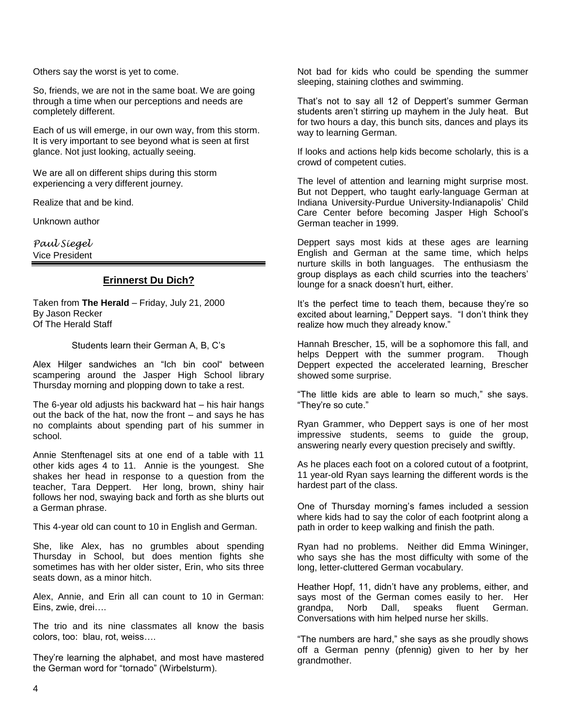Others say the worst is yet to come.

So, friends, we are not in the same boat. We are going through a time when our perceptions and needs are completely different.

Each of us will emerge, in our own way, from this storm. It is very important to see beyond what is seen at first glance. Not just looking, actually seeing.

We are all on different ships during this storm experiencing a very different journey.

Realize that and be kind.

Unknown author

*Paul Siegel* Vice President

#### **Erinnerst Du Dich?**

Taken from **The Herald** – Friday, July 21, 2000 By Jason Recker Of The Herald Staff

#### Students learn their German A, B, C's

Alex Hilger sandwiches an "Ich bin cool" between scampering around the Jasper High School library Thursday morning and plopping down to take a rest.

The 6-year old adjusts his backward hat – his hair hangs out the back of the hat, now the front – and says he has no complaints about spending part of his summer in school.

Annie Stenftenagel sits at one end of a table with 11 other kids ages 4 to 11. Annie is the youngest. She shakes her head in response to a question from the teacher, Tara Deppert. Her long, brown, shiny hair follows her nod, swaying back and forth as she blurts out a German phrase.

This 4-year old can count to 10 in English and German.

She, like Alex, has no grumbles about spending Thursday in School, but does mention fights she sometimes has with her older sister, Erin, who sits three seats down, as a minor hitch.

Alex, Annie, and Erin all can count to 10 in German: Eins, zwie, drei….

The trio and its nine classmates all know the basis colors, too: blau, rot, weiss….

They're learning the alphabet, and most have mastered the German word for "tornado" (Wirbelsturm).

Not bad for kids who could be spending the summer sleeping, staining clothes and swimming.

That's not to say all 12 of Deppert's summer German students aren't stirring up mayhem in the July heat. But for two hours a day, this bunch sits, dances and plays its way to learning German.

If looks and actions help kids become scholarly, this is a crowd of competent cuties.

The level of attention and learning might surprise most. But not Deppert, who taught early-language German at Indiana University-Purdue University-Indianapolis' Child Care Center before becoming Jasper High School's German teacher in 1999.

Deppert says most kids at these ages are learning English and German at the same time, which helps nurture skills in both languages. The enthusiasm the group displays as each child scurries into the teachers' lounge for a snack doesn't hurt, either.

It's the perfect time to teach them, because they're so excited about learning," Deppert says. "I don't think they realize how much they already know."

Hannah Brescher, 15, will be a sophomore this fall, and helps Deppert with the summer program. Though Deppert expected the accelerated learning, Brescher showed some surprise.

"The little kids are able to learn so much," she says. "They're so cute."

Ryan Grammer, who Deppert says is one of her most impressive students, seems to guide the group, answering nearly every question precisely and swiftly.

As he places each foot on a colored cutout of a footprint, 11 year-old Ryan says learning the different words is the hardest part of the class.

One of Thursday morning's fames included a session where kids had to say the color of each footprint along a path in order to keep walking and finish the path.

Ryan had no problems. Neither did Emma Wininger, who says she has the most difficulty with some of the long, letter-cluttered German vocabulary.

Heather Hopf, 11, didn't have any problems, either, and says most of the German comes easily to her. Her grandpa, Norb Dall, speaks fluent German. Conversations with him helped nurse her skills.

"The numbers are hard," she says as she proudly shows off a German penny (pfennig) given to her by her grandmother.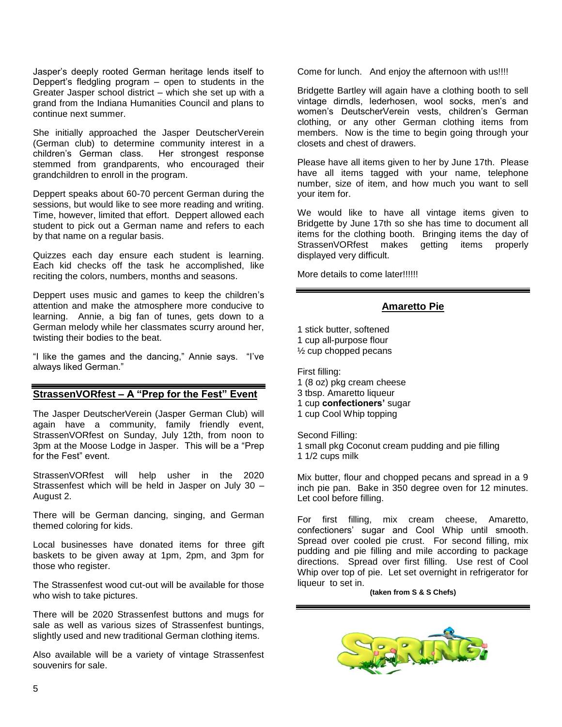Jasper's deeply rooted German heritage lends itself to Deppert's fledgling program – open to students in the Greater Jasper school district – which she set up with a grand from the Indiana Humanities Council and plans to continue next summer.

She initially approached the Jasper DeutscherVerein (German club) to determine community interest in a children's German class. Her strongest response stemmed from grandparents, who encouraged their grandchildren to enroll in the program.

Deppert speaks about 60-70 percent German during the sessions, but would like to see more reading and writing. Time, however, limited that effort. Deppert allowed each student to pick out a German name and refers to each by that name on a regular basis.

Quizzes each day ensure each student is learning. Each kid checks off the task he accomplished, like reciting the colors, numbers, months and seasons.

Deppert uses music and games to keep the children's attention and make the atmosphere more conducive to learning. Annie, a big fan of tunes, gets down to a German melody while her classmates scurry around her, twisting their bodies to the beat.

"I like the games and the dancing," Annie says. "I've always liked German."

### **StrassenVORfest – A "Prep for the Fest" Event**

The Jasper DeutscherVerein (Jasper German Club) will again have a community, family friendly event, StrassenVORfest on Sunday, July 12th, from noon to 3pm at the Moose Lodge in Jasper. This will be a "Prep for the Fest" event.

StrassenVORfest will help usher in the 2020 Strassenfest which will be held in Jasper on July 30 – August 2.

There will be German dancing, singing, and German themed coloring for kids.

Local businesses have donated items for three gift baskets to be given away at 1pm, 2pm, and 3pm for those who register.

The Strassenfest wood cut-out will be available for those who wish to take pictures.

There will be 2020 Strassenfest buttons and mugs for sale as well as various sizes of Strassenfest buntings, slightly used and new traditional German clothing items.

Also available will be a variety of vintage Strassenfest souvenirs for sale.

Come for lunch. And enjoy the afternoon with us!!!!

Bridgette Bartley will again have a clothing booth to sell vintage dirndls, lederhosen, wool socks, men's and women's DeutscherVerein vests, children's German clothing, or any other German clothing items from members. Now is the time to begin going through your closets and chest of drawers.

Please have all items given to her by June 17th. Please have all items tagged with your name, telephone number, size of item, and how much you want to sell your item for.

We would like to have all vintage items given to Bridgette by June 17th so she has time to document all items for the clothing booth. Bringing items the day of StrassenVORfest makes getting items properly displayed very difficult.

More details to come later!!!!!!

#### **Amaretto Pie**

1 stick butter, softened 1 cup all-purpose flour ½ cup chopped pecans

First filling:

- 1 (8 oz) pkg cream cheese
- 3 tbsp. Amaretto liqueur
- 1 cup **confectioners'** sugar
- 1 cup Cool Whip topping

Second Filling:

1 small pkg Coconut cream pudding and pie filling 1 1/2 cups milk

Mix butter, flour and chopped pecans and spread in a 9 inch pie pan. Bake in 350 degree oven for 12 minutes. Let cool before filling.

For first filling, mix cream cheese, Amaretto, confectioners' sugar and Cool Whip until smooth. Spread over cooled pie crust. For second filling, mix pudding and pie filling and mile according to package directions. Spread over first filling. Use rest of Cool Whip over top of pie. Let set overnight in refrigerator for liqueur to set in.

**(taken from S & S Chefs)**

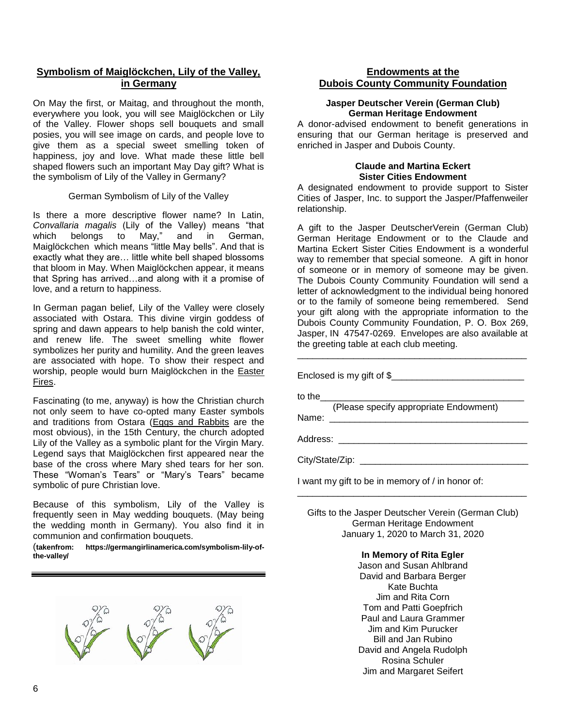# **Symbolism of Maiglöckchen, Lily of the Valley, in Germany**

On May the first, or Maitag, and throughout the month, everywhere you look, you will see Maiglöckchen or Lily of the Valley. Flower shops sell bouquets and small posies, you will see image on cards, and people love to give them as a special sweet smelling token of happiness, joy and love. What made these little bell shaped flowers such an important May Day gift? What is the symbolism of Lily of the Valley in Germany?

#### German Symbolism of Lily of the Valley

Is there a more descriptive flower name? In Latin, *Convallaria magalis* (Lily of the Valley) means "that which belongs to May," and in German, Maiglöckchen which means "little May bells". And that is exactly what they are… little white bell shaped blossoms that bloom in May. When Maiglöckchen appear, it means that Spring has arrived…and along with it a promise of love, and a return to happiness.

In German pagan belief, Lily of the Valley were closely associated with Ostara. This divine virgin goddess of spring and dawn appears to help banish the cold winter, and renew life. The sweet smelling white flower symbolizes her purity and humility. And the green leaves are associated with hope. To show their respect and worship, people would burn Maiglöckchen in the [Easter](https://germangirlinamerica.com/easter-fire-germany/)  [Fires.](https://germangirlinamerica.com/easter-fire-germany/)

Fascinating (to me, anyway) is how the Christian church not only seem to have co-opted many Easter symbols and traditions from Ostara [\(Eggs and Rabbits](https://germangirlinamerica.com/where-did-easter-bunny-originate/) are the most obvious), in the 15th Century, the church adopted Lily of the Valley as a symbolic plant for the Virgin Mary. Legend says that Maiglöckchen first appeared near the base of the cross where Mary shed tears for her son. These "Woman's Tears" or "Mary's Tears" became symbolic of pure Christian love.

Because of this symbolism, Lily of the Valley is frequently seen in May wedding bouquets. (May being the wedding month in Germany). You also find it in communion and confirmation bouquets.

(**takenfrom: https://germangirlinamerica.com/symbolism-lily-ofthe-valley/**



#### **Endowments at the Dubois County Community Foundation**

#### **Jasper Deutscher Verein (German Club) German Heritage Endowment**

A donor-advised endowment to benefit generations in ensuring that our German heritage is preserved and enriched in Jasper and Dubois County.

#### **Claude and Martina Eckert Sister Cities Endowment**

A designated endowment to provide support to Sister Cities of Jasper, Inc. to support the Jasper/Pfaffenweiler relationship.

A gift to the Jasper DeutscherVerein (German Club) German Heritage Endowment or to the Claude and Martina Eckert Sister Cities Endowment is a wonderful way to remember that special someone. A gift in honor of someone or in memory of someone may be given. The Dubois County Community Foundation will send a letter of acknowledgment to the individual being honored or to the family of someone being remembered. Send your gift along with the appropriate information to the Dubois County Community Foundation, P. O. Box 269, Jasper, IN 47547-0269. Envelopes are also available at the greeting table at each club meeting.

Enclosed is my gift of \$ to the\_\_\_\_\_\_\_\_\_\_\_\_\_\_\_\_\_\_\_\_\_\_\_\_\_\_\_\_\_\_\_\_\_\_\_\_\_\_\_\_ (Please specify appropriate Endowment) Name: \_\_\_\_\_\_\_\_\_\_\_\_\_\_\_\_\_\_\_\_\_\_\_\_\_\_\_\_\_\_\_\_\_\_\_\_\_\_\_ Address: \_\_\_\_\_\_\_\_\_\_\_\_\_\_\_\_\_\_\_\_\_\_\_\_\_\_\_\_\_\_\_\_\_\_\_\_\_ City/State/Zip: \_\_\_\_\_\_\_\_\_\_\_\_\_\_\_\_\_\_\_\_\_\_\_\_\_\_\_\_\_\_\_\_\_ I want my gift to be in memory of / in honor of: \_\_\_\_\_\_\_\_\_\_\_\_\_\_\_\_\_\_\_\_\_\_\_\_\_\_\_\_\_\_\_\_\_\_\_\_\_\_\_\_\_\_\_\_\_

\_\_\_\_\_\_\_\_\_\_\_\_\_\_\_\_\_\_\_\_\_\_\_\_\_\_\_\_\_\_\_\_\_\_\_\_\_\_\_\_\_\_\_\_\_

Gifts to the Jasper Deutscher Verein (German Club) German Heritage Endowment January 1, 2020 to March 31, 2020

#### **In Memory of Rita Egler**

Jason and Susan Ahlbrand David and Barbara Berger Kate Buchta Jim and Rita Corn Tom and Patti Goepfrich Paul and Laura Grammer Jim and Kim Purucker Bill and Jan Rubino David and Angela Rudolph Rosina Schuler Jim and Margaret Seifert